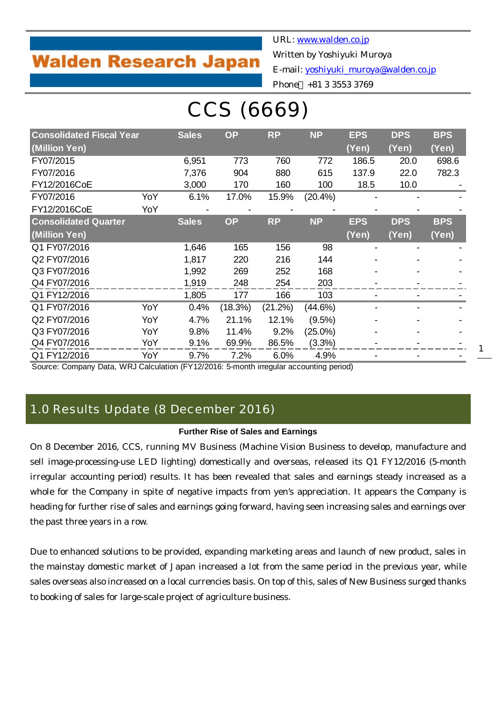## **Walden Research Japan**

URL: [www.walden.co.jp](http://www.walden.co.jp/) Written by Yoshiyuki Muroya E-mail: [yoshiyuki\\_muroya@walden.co.jp](mailto:yoshiyuki_muroya@walden.co.jp)

### Phone +81 3 3553 3769

# CCS (6669)

| <b>Consolidated Fiscal Year</b> |     | <b>Sales</b> | <b>OP</b> | <b>RP</b> | <b>NP</b>  | <b>EPS</b> | <b>DPS</b> | <b>BPS</b> |
|---------------------------------|-----|--------------|-----------|-----------|------------|------------|------------|------------|
| (Million Yen)                   |     |              |           |           |            | (Yen)      | (Yen)      | (Yen)      |
| FY07/2015                       |     | 6,951        | 773       | 760       | 772        | 186.5      | 20.0       | 698.6      |
| FY07/2016                       |     | 7,376        | 904       | 880       | 615        | 137.9      | 22.0       | 782.3      |
| FY12/2016CoE                    |     | 3,000        | 170       | 160       | 100        | 18.5       | 10.0       |            |
| FY07/2016                       | YoY | 6.1%         | 17.0%     | 15.9%     | $(20.4\%)$ |            |            |            |
| FY12/2016CoE                    | YoY |              |           |           |            |            |            |            |
| <b>Consolidated Quarter</b>     |     | <b>Sales</b> | <b>OP</b> | <b>RP</b> | <b>NP</b>  | <b>EPS</b> | <b>DPS</b> | <b>BPS</b> |
| (Million Yen)                   |     |              |           |           |            | (Yen)      | (Yen)      | (Yen)      |
| Q1 FY07/2016                    |     | 1,646        | 165       | 156       | 98         |            |            |            |
| Q2 FY07/2016                    |     | 1,817        | 220       | 216       | 144        |            |            |            |
| Q3 FY07/2016                    |     | 1,992        | 269       | 252       | 168        |            |            |            |
| Q4 FY07/2016                    |     | 1,919        | 248       | 254       | 203        |            |            |            |
| Q1 FY12/2016                    |     | 1,805        | 177       | 166       | 103        |            |            |            |
| Q1 FY07/2016                    | YoY | 0.4%         | (18.3%)   | (21.2%)   | (44.6%)    |            |            |            |
| Q2 FY07/2016                    | YoY | 4.7%         | 21.1%     | 12.1%     | (9.5%)     |            |            |            |
| Q3 FY07/2016                    | YoY | 9.8%         | 11.4%     | 9.2%      | $(25.0\%)$ |            |            |            |
| Q4 FY07/2016                    | YoY | 9.1%         | 69.9%     | 86.5%     | (3.3%)     |            |            |            |
| Q1 FY12/2016                    | YoY | 9.7%         | 7.2%      | 6.0%      | 4.9%       |            |            |            |

Source: Company Data, WRJ Calculation (FY12/2016: 5-month irregular accounting period)

### 1.0 Results Update (8 December 2016)

#### **Further Rise of Sales and Earnings**

On 8 December 2016, CCS, running MV Business (Machine Vision Business to develop, manufacture and sell image-processing-use LED lighting) domestically and overseas, released its Q1 FY12/2016 (5-month irregular accounting period) results. It has been revealed that sales and earnings steady increased as a whole for the Company in spite of negative impacts from yen's appreciation. It appears the Company is heading for further rise of sales and earnings going forward, having seen increasing sales and earnings over the past three years in a row.

Due to enhanced solutions to be provided, expanding marketing areas and launch of new product, sales in the mainstay domestic market of Japan increased a lot from the same period in the previous year, while sales overseas also increased on a local currencies basis. On top of this, sales of New Business surged thanks to booking of sales for large-scale project of agriculture business.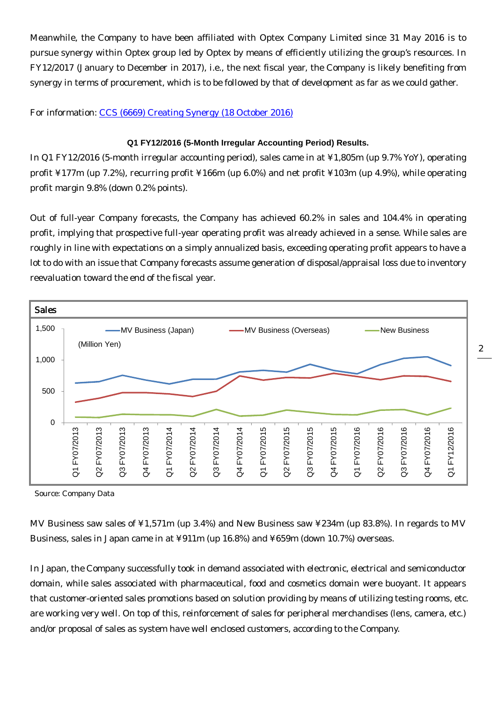Meanwhile, the Company to have been affiliated with Optex Company Limited since 31 May 2016 is to pursue synergy within Optex group led by Optex by means of efficiently utilizing the group's resources. In FY12/2017 (January to December in 2017), i.e., the next fiscal year, the Company is likely benefiting from synergy in terms of procurement, which is to be followed by that of development as far as we could gather.

For information: [CCS \(6669\) Creating Synergy \(18 October 2016\)](http://walden.co.jp/pdf/6669_ccs_2016_07_q4_report_2016_10_18_english.pdf)

#### **Q1 FY12/2016 (5-Month Irregular Accounting Period) Results.**

In Q1 FY12/2016 (5-month irregular accounting period), sales came in at ¥1,805m (up 9.7% YoY), operating profit ¥177m (up 7.2%), recurring profit ¥166m (up 6.0%) and net profit ¥103m (up 4.9%), while operating profit margin 9.8% (down 0.2% points).

Out of full-year Company forecasts, the Company has achieved 60.2% in sales and 104.4% in operating profit, implying that prospective full-year operating profit was already achieved in a sense. While sales are roughly in line with expectations on a simply annualized basis, exceeding operating profit appears to have a lot to do with an issue that Company forecasts assume generation of disposal/appraisal loss due to inventory reevaluation toward the end of the fiscal year.



Source: Company Data

MV Business saw sales of ¥1,571m (up 3.4%) and New Business saw ¥234m (up 83.8%). In regards to MV Business, sales in Japan came in at ¥911m (up 16.8%) and ¥659m (down 10.7%) overseas.

In Japan, the Company successfully took in demand associated with electronic, electrical and semiconductor domain, while sales associated with pharmaceutical, food and cosmetics domain were buoyant. It appears that customer-oriented sales promotions based on solution providing by means of utilizing testing rooms, etc. are working very well. On top of this, reinforcement of sales for peripheral merchandises (lens, camera, etc.) and/or proposal of sales as system have well enclosed customers, according to the Company.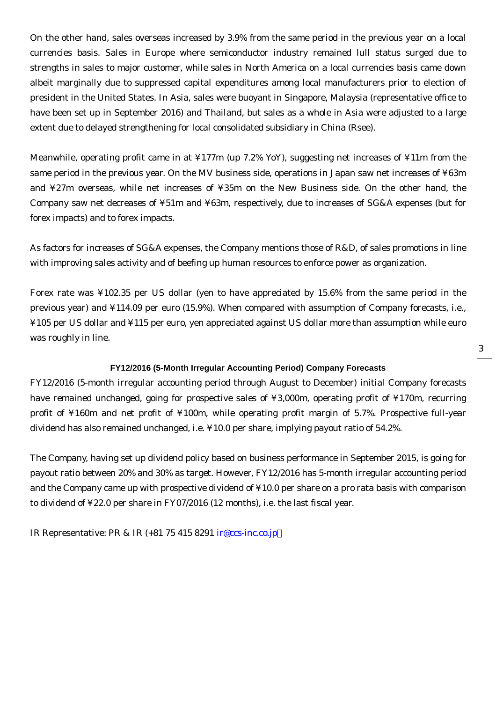On the other hand, sales overseas increased by 3.9% from the same period in the previous year on a local currencies basis. Sales in Europe where semiconductor industry remained lull status surged due to strengths in sales to major customer, while sales in North America on a local currencies basis came down albeit marginally due to suppressed capital expenditures among local manufacturers prior to election of president in the United States. In Asia, sales were buoyant in Singapore, Malaysia (representative office to have been set up in September 2016) and Thailand, but sales as a whole in Asia were adjusted to a large extent due to delayed strengthening for local consolidated subsidiary in China (Rsee).

Meanwhile, operating profit came in at ¥177m (up 7.2% YoY), suggesting net increases of ¥11m from the same period in the previous year. On the MV business side, operations in Japan saw net increases of ¥63m and ¥27m overseas, while net increases of ¥35m on the New Business side. On the other hand, the Company saw net decreases of ¥51m and ¥63m, respectively, due to increases of SG&A expenses (but for forex impacts) and to forex impacts.

As factors for increases of SG&A expenses, the Company mentions those of R&D, of sales promotions in line with improving sales activity and of beefing up human resources to enforce power as organization.

Forex rate was ¥102.35 per US dollar (yen to have appreciated by 15.6% from the same period in the previous year) and ¥114.09 per euro (15.9%). When compared with assumption of Company forecasts, i.e., ¥105 per US dollar and ¥115 per euro, yen appreciated against US dollar more than assumption while euro was roughly in line.

#### **FY12/2016 (5-Month Irregular Accounting Period) Company Forecasts**

FY12/2016 (5-month irregular accounting period through August to December) initial Company forecasts have remained unchanged, going for prospective sales of ¥3,000m, operating profit of ¥170m, recurring profit of ¥160m and net profit of ¥100m, while operating profit margin of 5.7%. Prospective full-year dividend has also remained unchanged, i.e. ¥10.0 per share, implying payout ratio of 54.2%.

The Company, having set up dividend policy based on business performance in September 2015, is going for payout ratio between 20% and 30% as target. However, FY12/2016 has 5-month irregular accounting period and the Company came up with prospective dividend of ¥10.0 per share on a pro rata basis with comparison to dividend of ¥22.0 per share in FY07/2016 (12 months), i.e. the last fiscal year.

IR Representative: PR & IR (+81 75 415 8291 [ir@ccs-inc.co.jp](mailto:ir@ccs-inc.co.jp)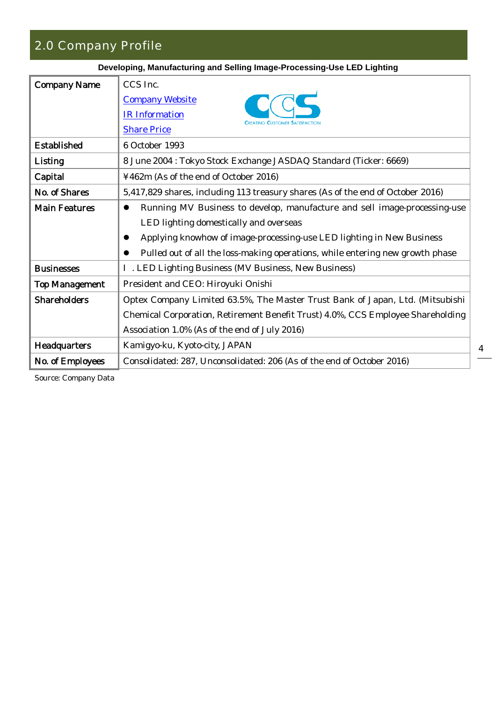### 2.0 Company Profile

| Developing, Manufacturing and Selling Image-Processing-Use LED Lighting                |  |  |  |  |  |  |  |
|----------------------------------------------------------------------------------------|--|--|--|--|--|--|--|
| CCS Inc.                                                                               |  |  |  |  |  |  |  |
| <b>Company Website</b>                                                                 |  |  |  |  |  |  |  |
| <b>IR Information</b><br><b>CREATING CUSTOMER SATISFACT</b>                            |  |  |  |  |  |  |  |
| <b>Share Price</b>                                                                     |  |  |  |  |  |  |  |
| 6 October 1993                                                                         |  |  |  |  |  |  |  |
| 8 June 2004 : Tokyo Stock Exchange JASDAQ Standard (Ticker: 6669)                      |  |  |  |  |  |  |  |
| ¥462m (As of the end of October 2016)                                                  |  |  |  |  |  |  |  |
| 5,417,829 shares, including 113 treasury shares (As of the end of October 2016)        |  |  |  |  |  |  |  |
| Running MV Business to develop, manufacture and sell image-processing-use<br>$\bullet$ |  |  |  |  |  |  |  |
| LED lighting domestically and overseas                                                 |  |  |  |  |  |  |  |
| Applying knowhow of image-processing-use LED lighting in New Business<br>$\bullet$     |  |  |  |  |  |  |  |
| Pulled out of all the loss-making operations, while entering new growth phase          |  |  |  |  |  |  |  |
| . LED Lighting Business (MV Business, New Business)                                    |  |  |  |  |  |  |  |
| President and CEO: Hiroyuki Onishi                                                     |  |  |  |  |  |  |  |
| Optex Company Limited 63.5%, The Master Trust Bank of Japan, Ltd. (Mitsubishi          |  |  |  |  |  |  |  |
| Chemical Corporation, Retirement Benefit Trust) 4.0%, CCS Employee Shareholding        |  |  |  |  |  |  |  |
| Association 1.0% (As of the end of July 2016)                                          |  |  |  |  |  |  |  |
| Kamigyo-ku, Kyoto-city, JAPAN                                                          |  |  |  |  |  |  |  |
| Consolidated: 287, Unconsolidated: 206 (As of the end of October 2016)                 |  |  |  |  |  |  |  |
|                                                                                        |  |  |  |  |  |  |  |

Source: Company Data

4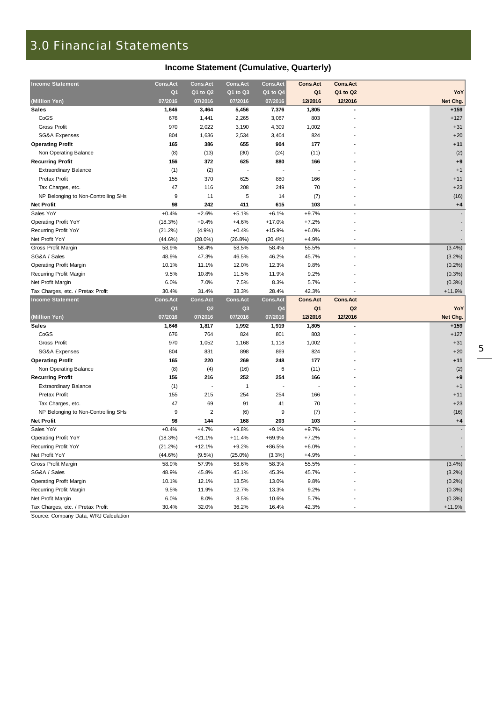### 3.0 Financial Statements

| <b>Income Statement</b>             | <b>Cons.Act</b>           | <b>Cons.Act</b>     | <b>Cons.Act</b>     | <b>Cons.Act</b>     | <b>Cons.Act</b> | <b>Cons.Act</b>     | YoY       |
|-------------------------------------|---------------------------|---------------------|---------------------|---------------------|-----------------|---------------------|-----------|
|                                     | Q <sub>1</sub><br>07/2016 | Q1 to Q2<br>07/2016 | Q1 to Q3<br>07/2016 | Q1 to Q4<br>07/2016 | Q1<br>12/2016   | Q1 to Q2<br>12/2016 | Net Chg.  |
| (Million Yen)                       | 1,646                     |                     | 5,456               | 7,376               | 1,805           |                     | $+159$    |
| Sales<br>CoGS                       | 676                       | 3,464<br>1,441      | 2,265               | 3,067               | 803             |                     | $+127$    |
| <b>Gross Profit</b>                 | 970                       | 2,022               | 3,190               | 4,309               | 1,002           |                     | $+31$     |
| SG&A Expenses                       | 804                       | 1,636               | 2,534               | 3,404               | 824             |                     | $+20$     |
| <b>Operating Profit</b>             | 165                       | 386                 | 655                 | 904                 | 177             |                     | $+11$     |
|                                     |                           |                     |                     | (24)                |                 |                     |           |
| Non Operating Balance               | (8)                       | (13)                | (30)                |                     | (11)            |                     | (2)       |
| <b>Recurring Profit</b>             | 156                       | 372                 | 625                 | 880                 | 166             |                     | $+9$      |
| <b>Extraordinary Balance</b>        | (1)                       | (2)                 |                     |                     |                 |                     | $+1$      |
| <b>Pretax Profit</b>                | 155                       | 370                 | 625                 | 880                 | 166             |                     | $+11$     |
| Tax Charges, etc.                   | 47                        | 116                 | 208                 | 249                 | 70              |                     | $+23$     |
| NP Belonging to Non-Controlling SHs | 9                         | 11                  | 5                   | 14                  | (7)             |                     | (16)      |
| <b>Net Profit</b>                   | 98                        | 242                 | 411                 | 615                 | 103             |                     | $+4$      |
| Sales YoY                           | $+0.4%$                   | $+2.6%$             | $+5.1%$             | $+6.1%$             | $+9.7%$         |                     |           |
| <b>Operating Profit YoY</b>         | (18.3%)                   | $+0.4%$             | $+4.6%$             | $+17.0%$            | $+7.2%$         |                     |           |
| Recurring Profit YoY                | (21.2%)                   | (4.9%)              | $+0.4%$             | $+15.9%$            | $+6.0%$         |                     |           |
| Net Profit YoY                      | $(44.6\%)$                | $(28.0\%)$          | $(26.8\%)$          | (20.4%)             | $+4.9%$         |                     |           |
| Gross Profit Margin                 | 58.9%                     | 58.4%               | 58.5%               | 58.4%               | 55.5%           |                     | (3.4%)    |
| SG&A / Sales                        | 48.9%                     | 47.3%               | 46.5%               | 46.2%               | 45.7%           |                     | (3.2%)    |
| <b>Operating Profit Margin</b>      | 10.1%                     | 11.1%               | 12.0%               | 12.3%               | 9.8%            |                     | (0.2%)    |
| Recurring Profit Margin             | 9.5%                      | 10.8%               | 11.5%               | 11.9%               | 9.2%            |                     | (0.3%)    |
| Net Profit Margin                   | 6.0%                      | 7.0%                | 7.5%                | 8.3%                | 5.7%            |                     | (0.3% )   |
| Tax Charges, etc. / Pretax Profit   | 30.4%                     | 31.4%               | 33.3%               | 28.4%               | 42.3%           |                     | $+11.9%$  |
| <b>Income Statement</b>             | <b>Cons.Act</b>           | <b>Cons.Act</b>     | <b>Cons.Act</b>     | <b>Cons.Act</b>     | <b>Cons.Act</b> | <b>Cons.Act</b>     |           |
|                                     | Q <sub>1</sub>            | Q <sub>2</sub>      | Q <sub>3</sub>      | Q <sub>4</sub>      | Q <sub>1</sub>  | Q <sub>2</sub>      | YoY       |
| (Million Yen)                       | 07/2016                   | 07/2016             | 07/2016             | 07/2016             | 12/2016         | 12/2016             | Net Chg.  |
| <b>Sales</b>                        | 1,646                     | 1,817               | 1,992               | 1,919               | 1,805           |                     | $+159$    |
| CoGS                                | 676                       | 764                 | 824                 | 801                 | 803             |                     | $+127$    |
| <b>Gross Profit</b>                 | 970                       | 1,052               | 1,168               | 1,118               | 1,002           |                     | $+31$     |
| <b>SG&amp;A Expenses</b>            | 804                       | 831                 | 898                 | 869                 | 824             |                     | $+20$     |
| <b>Operating Profit</b>             | 165                       | 220                 | 269                 | 248                 | 177             |                     | $+11$     |
| Non Operating Balance               | (8)                       | (4)                 | (16)                | 6                   | (11)            |                     | (2)       |
| <b>Recurring Profit</b>             | 156                       | 216                 | 252                 | 254                 | 166             |                     | $+9$      |
| <b>Extraordinary Balance</b>        | (1)                       |                     | $\overline{1}$      |                     |                 |                     | $+1$      |
| Pretax Profit                       | 155                       | 215                 | 254                 | 254                 | 166             |                     | $+11$     |
| Tax Charges, etc.                   | 47                        | 69                  | 91                  | 41                  | 70              |                     | $+23$     |
| NP Belonging to Non-Controlling SHs | 9                         | $\overline{2}$      | (6)                 | 9                   | (7)             |                     | (16)      |
| <b>Net Profit</b>                   | 98                        | 144                 | 168                 | 203                 | 103             |                     | $+4$      |
| Sales YoY                           | $+0.4%$                   | $+4.7%$             | $+9.8%$             | $+9.1%$             | $+9.7%$         |                     |           |
| <b>Operating Profit YoY</b>         | (18.3%)                   | $+21.1%$            | $+11.4%$            | +69.9%              | $+7.2%$         |                     |           |
| <b>Recurring Profit YoY</b>         | (21.2%)                   | $+12.1%$            | $+9.2%$             | $+86.5%$            | $+6.0%$         |                     |           |
| Net Profit YoY                      | $(44.6\%)$                | $(9.5\%)$           | $(25.0\%)$          | (3.3%)              | $+4.9%$         |                     |           |
| Gross Profit Margin                 | 58.9%                     | 57.9%               | 58.6%               | 58.3%               | 55.5%           |                     | $(3.4\%)$ |
| SG&A / Sales                        | 48.9%                     | 45.8%               | 45.1%               | 45.3%               | 45.7%           |                     | (3.2%)    |
| <b>Operating Profit Margin</b>      | 10.1%                     | 12.1%               | 13.5%               | 13.0%               | 9.8%            |                     | (0.2%)    |
| Recurring Profit Margin             | 9.5%                      | 11.9%               | 12.7%               | 13.3%               | 9.2%            |                     | (0.3%)    |
| Net Profit Margin                   | 6.0%                      | 8.0%                | 8.5%                | 10.6%               | 5.7%            |                     |           |
|                                     |                           |                     |                     |                     |                 |                     | (0.3%)    |
| Tax Charges, etc. / Pretax Profit   | 30.4%                     | 32.0%               | 36.2%               | 16.4%               | 42.3%           |                     | $+11.9%$  |

Source: Company Data, WRJ Calculation

### **Income Statement (Cumulative, Quarterly)**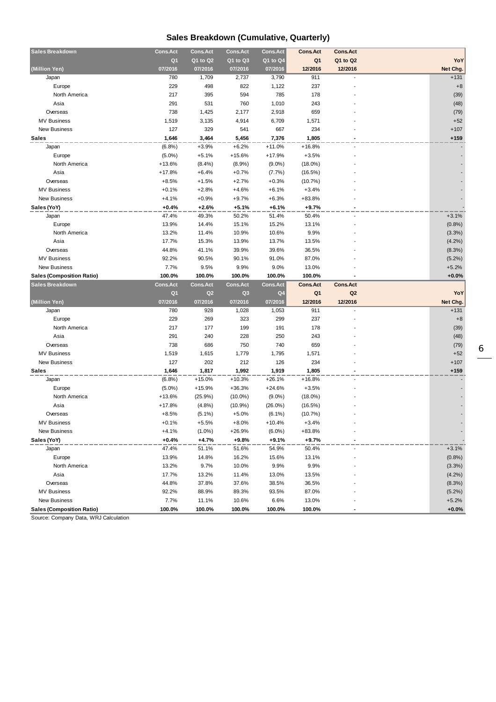### **Sales Breakdown (Cumulative, Quarterly)**

| <b>Sales Breakdown</b>                                  | <b>Cons.Act</b> | <b>Cons.Act</b> | <b>Cons.Act</b> | <b>Cons.Act</b> | <b>Cons.Act</b> | <b>Cons.Act</b> |                    |
|---------------------------------------------------------|-----------------|-----------------|-----------------|-----------------|-----------------|-----------------|--------------------|
|                                                         | Q <sub>1</sub>  | Q1 to Q2        | Q1 to Q3        | Q1 to Q4        | Q <sub>1</sub>  | Q1 to Q2        | YoY                |
| (Million Yen)                                           | 07/2016         | 07/2016         | 07/2016         | 07/2016         | 12/2016         | 12/2016         | Net Chg.           |
| Japan                                                   | 780             | 1,709           | 2,737           | 3,790           | 911             |                 | $+131$             |
| Europe                                                  | 229             | 498             | 822             | 1,122           | 237             |                 | $+8$               |
| North America                                           | 217             | 395             | 594             | 785             | 178             |                 | (39)               |
| Asia                                                    | 291             | 531             | 760             | 1,010           | 243             |                 | (48)               |
| Overseas                                                | 738             | 1,425           | 2,177           | 2,918           | 659             |                 | (79)               |
| <b>MV Business</b>                                      | 1,519           | 3,135           | 4,914           | 6,709           | 1,571           |                 | $+52$              |
| <b>New Business</b>                                     | 127             | 329             | 541             | 667             | 234             |                 | $+107$             |
| <b>Sales</b>                                            | 1,646           | 3,464           | 5,456           | 7,376           | 1,805           |                 | $+159$             |
| Japan                                                   | (6.8%)          | $+3.9%$         | $+6.2%$         | $+11.0%$        | $+16.8%$        |                 |                    |
| Europe                                                  | $(5.0\%)$       | $+5.1%$         | $+15.6%$        | $+17.9%$        | $+3.5%$         |                 |                    |
| North America                                           | $+13.6%$        | (8.4%)          | (8.9%)          | $(9.0\%)$       | $(18.0\%)$      |                 |                    |
| Asia                                                    | $+17.8%$        | $+6.4%$         | $+0.7%$         | (7.7%)          | (16.5%)         |                 |                    |
| Overseas                                                | $+8.5%$         | $+1.5%$         | $+2.7%$         | $+0.3%$         | (10.7%)         |                 |                    |
| <b>MV Business</b>                                      | $+0.1%$         | $+2.8%$         | $+4.6%$         | $+6.1%$         | $+3.4%$         |                 |                    |
| New Business                                            | $+4.1%$         | $+0.9%$         | $+9.7%$         | $+6.3%$         | +83.8%          |                 |                    |
| Sales (YoY)                                             | $+0.4%$         | $+2.6%$         | $+5.1%$         | $+6.1%$         | $+9.7%$         |                 |                    |
| Japan                                                   | 47.4%           | 49.3%           | 50.2%           | 51.4%           | 50.4%           |                 | $+3.1%$            |
| Europe                                                  | 13.9%           | 14.4%           | 15.1%           | 15.2%           | 13.1%           |                 | (0.8%)             |
| North America                                           | 13.2%           | 11.4%           | 10.9%           | 10.6%           | 9.9%            |                 | (3.3%)             |
| Asia                                                    | 17.7%           | 15.3%           | 13.9%           | 13.7%           | 13.5%           |                 | (4.2%)             |
| Overseas                                                | 44.8%           | 41.1%           | 39.9%           | 39.6%           | 36.5%           |                 | (8.3%)             |
| <b>MV Business</b>                                      | 92.2%           | 90.5%           | 90.1%           | 91.0%           | 87.0%           |                 | $(5.2\%)$          |
| <b>New Business</b>                                     | 7.7%            | 9.5%            | 9.9%            | 9.0%            | 13.0%           |                 | $+5.2%$            |
| <b>Sales (Composition Ratio)</b>                        | 100.0%          | 100.0%          | 100.0%          | 100.0%          | 100.0%          |                 | $+0.0%$            |
|                                                         |                 |                 |                 |                 |                 |                 |                    |
| <b>Sales Breakdown</b>                                  | <b>Cons.Act</b> | <b>Cons.Act</b> | <b>Cons.Act</b> | <b>Cons.Act</b> | <b>Cons.Act</b> | <b>Cons.Act</b> |                    |
|                                                         | Q <sub>1</sub>  | Q2              | Q <sub>3</sub>  | Q <sub>4</sub>  | Q <sub>1</sub>  | Q2              | YoY                |
| (Million Yen)                                           | 07/2016         | 07/2016         | 07/2016         | 07/2016         | 12/2016         | 12/2016         | Net Chg.           |
| Japan                                                   | 780             | 928             | 1,028           | 1,053           | 911             |                 | $+131$             |
| Europe                                                  | 229             | 269             | 323             | 299             | 237             |                 | $+8$               |
| North America                                           | 217             | 177             | 199             | 191             | 178             |                 | (39)               |
| Asia                                                    | 291             | 240             | 228             | 250             | 243             |                 | (48)               |
| Overseas                                                | 738             | 686             | 750             | 740             | 659             |                 | (79)               |
| <b>MV Business</b>                                      | 1,519           | 1,615           | 1,779           | 1,795           | 1,571           |                 | $+52$              |
| <b>New Business</b>                                     | 127             | 202             | 212             | 126             | 234             |                 | $+107$             |
| <b>Sales</b>                                            | 1,646           | 1,817           | 1,992           | 1,919           | 1,805           |                 | $+159$             |
| Japan                                                   | (6.8%)          | $+15.0%$        | $+10.3%$        | $+26.1%$        | $+16.8%$        |                 |                    |
| Europe                                                  | $(5.0\%)$       | $+15.9%$        | $+36.3%$        | $+24.6%$        | $+3.5%$         |                 |                    |
| North America                                           | $+13.6%$        | (25.9%)         | $(10.0\%)$      | $(9.0\%)$       | $(18.0\%)$      |                 |                    |
| Asia                                                    | $+17.8%$        | (4.8%)          | $(10.9\%)$      | $(26.0\%)$      | (16.5%)         |                 |                    |
| Overseas                                                | $+8.5%$         | $(5.1\%)$       | $+5.0%$         | $(6.1\%)$       | (10.7%          |                 |                    |
| <b>MV Business</b>                                      | $+0.1%$         | $+5.5%$         | +8.0%           | +10.4%          | $+3.4%$         |                 |                    |
| <b>New Business</b>                                     | $+4.1%$         | $(1.0\%)$       | +26.9%          | $(6.0\%)$       | +83.8%          |                 |                    |
| Sales (YoY)                                             | $+0.4%$         | $+4.7%$         | $+9.8%$         | $+9.1%$         | $+9.7%$         |                 |                    |
| Japan                                                   | 47.4%           | 51.1%           | 51.6%           | 54.9%           | 50.4%           |                 | $+3.1%$            |
| Europe                                                  | 13.9%           | 14.8%           | 16.2%           | 15.6%           | 13.1%           |                 | (0.8%)             |
| North America                                           | 13.2%           | 9.7%            | 10.0%           | 9.9%            | 9.9%            |                 | (3.3%)             |
| Asia                                                    | 17.7%           | 13.2%           | 11.4%           | 13.0%           | 13.5%           |                 | (4.2%)             |
| Overseas                                                | 44.8%           | 37.8%           | 37.6%           | 38.5%           | 36.5%           |                 | (8.3%)             |
| <b>MV Business</b>                                      | 92.2%           | 88.9%           | 89.3%           | 93.5%           | 87.0%           |                 | $(5.2\%)$          |
| <b>New Business</b><br><b>Sales (Composition Ratio)</b> | 7.7%<br>100.0%  | 11.1%<br>100.0% | 10.6%<br>100.0% | 6.6%<br>100.0%  | 13.0%<br>100.0% |                 | $+5.2%$<br>$+0.0%$ |

Source: Company Data, WRJ Calculation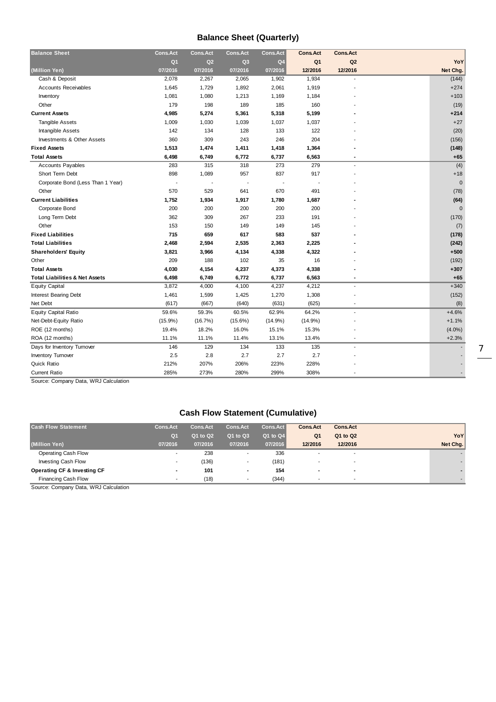### **Balance Sheet (Quarterly)**

| <b>Balance Sheet</b>                      | <b>Cons.Act</b> | <b>Cons.Act</b> | <b>Cons.Act</b> | <b>Cons.Act</b> | <b>Cons.Act</b> | <b>Cons.Act</b>          |              |
|-------------------------------------------|-----------------|-----------------|-----------------|-----------------|-----------------|--------------------------|--------------|
|                                           | Q <sub>1</sub>  | Q <sub>2</sub>  | Q <sub>3</sub>  | Q4              | Q <sub>1</sub>  | Q2                       | YoY          |
| (Million Yen)                             | 07/2016         | 07/2016         | 07/2016         | 07/2016         | 12/2016         | 12/2016                  | Net Chg.     |
| Cash & Deposit                            | 2,078           | 2,267           | 2,065           | 1,902           | 1,934           |                          | (144)        |
| <b>Accounts Receivables</b>               | 1,645           | 1,729           | 1,892           | 2,061           | 1,919           |                          | $+274$       |
| Inventory                                 | 1,081           | 1,080           | 1,213           | 1,169           | 1,184           |                          | $+103$       |
| Other                                     | 179             | 198             | 189             | 185             | 160             |                          | (19)         |
| <b>Current Assets</b>                     | 4,985           | 5,274           | 5,361           | 5,318           | 5,199           |                          | $+214$       |
| <b>Tangible Assets</b>                    | 1,009           | 1,030           | 1,039           | 1,037           | 1,037           |                          | $+27$        |
| Intangible Assets                         | 142             | 134             | 128             | 133             | 122             |                          | (20)         |
| Investments & Other Assets                | 360             | 309             | 243             | 246             | 204             |                          | (156)        |
| <b>Fixed Assets</b>                       | 1,513           | 1,474           | 1,411           | 1,418           | 1,364           |                          | (148)        |
| <b>Total Assets</b>                       | 6,498           | 6,749           | 6,772           | 6,737           | 6,563           |                          | $+65$        |
| <b>Accounts Payables</b>                  | 283             | 315             | 318             | 273             | 279             | $\overline{\phantom{a}}$ | (4)          |
| Short Term Debt                           | 898             | 1,089           | 957             | 837             | 917             |                          | $+18$        |
| Corporate Bond (Less Than 1 Year)         |                 |                 |                 |                 |                 |                          | $\mathbf 0$  |
| Other                                     | 570             | 529             | 641             | 670             | 491             |                          | (78)         |
| <b>Current Liabilities</b>                | 1,752           | 1,934           | 1,917           | 1,780           | 1,687           |                          | (64)         |
| Corporate Bond                            | 200             | 200             | 200             | 200             | 200             |                          | $\mathbf{0}$ |
| Long Term Debt                            | 362             | 309             | 267             | 233             | 191             |                          | (170)        |
| Other                                     | 153             | 150             | 149             | 149             | 145             |                          | (7)          |
| <b>Fixed Liabilities</b>                  | 715             | 659             | 617             | 583             | 537             |                          | (178)        |
| <b>Total Liabilities</b>                  | 2,468           | 2,594           | 2,535           | 2,363           | 2,225           |                          | (242)        |
| <b>Shareholders' Equity</b>               | 3,821           | 3,966           | 4,134           | 4,338           | 4,322           |                          | $+500$       |
| Other                                     | 209             | 188             | 102             | 35              | 16              |                          | (192)        |
| <b>Total Assets</b>                       | 4,030           | 4,154           | 4,237           | 4,373           | 4,338           |                          | $+307$       |
| <b>Total Liabilities &amp; Net Assets</b> | 6,498           | 6,749           | 6,772           | 6,737           | 6,563           |                          | $+65$        |
| <b>Equity Capital</b>                     | 3,872           | 4,000           | 4,100           | 4,237           | 4,212           |                          | $+340$       |
| <b>Interest Bearing Debt</b>              | 1,461           | 1,599           | 1,425           | 1,270           | 1,308           |                          | (152)        |
| Net Debt                                  | (617)           | (667)           | (640)           | (631)           | (625)           |                          | (8)          |
| <b>Equity Capital Ratio</b>               | 59.6%           | 59.3%           | 60.5%           | 62.9%           | 64.2%           |                          | $+4.6%$      |
| Net-Debt-Equity Ratio                     | $(15.9\%)$      | (16.7%)         | $(15.6\%)$      | $(14.9\%)$      | $(14.9\%)$      |                          | $+1.1%$      |
| ROE (12 months)                           | 19.4%           | 18.2%           | 16.0%           | 15.1%           | 15.3%           |                          | $(4.0\%)$    |
| ROA (12 months)                           | 11.1%           | 11.1%           | 11.4%           | 13.1%           | 13.4%           |                          | $+2.3%$      |
| Days for Inventory Turnover               | 146             | 129             | 134             | 133             | 135             | $\overline{\phantom{a}}$ |              |
| Inventory Turnover                        | 2.5             | 2.8             | 2.7             | 2.7             | 2.7             |                          |              |
| Quick Ratio                               | 212%            | 207%            | 206%            | 223%            | 228%            |                          |              |
| <b>Current Ratio</b>                      | 285%            | 273%            | 280%            | 299%            | 308%            |                          |              |

Source: Company Data, WRJ Calculation

### **Cash Flow Statement (Cumulative)**

| <b>Cash Flow Statement</b>  | <b>Cons.Act</b> | <b>Cons.Act</b> | <b>Cons.Act</b> | <b>Cons.Act</b> | <b>Cons.Act</b> | <b>Cons.Act</b> |          |
|-----------------------------|-----------------|-----------------|-----------------|-----------------|-----------------|-----------------|----------|
|                             | Q <sub>1</sub>  | Q1 to Q2        | Q1 to Q3        | Q1 to Q4        | Q <sub>1</sub>  | Q1 to Q2        | YoY      |
| (Million Yen)               | 07/2016         | 07/2016         | 07/2016         | 07/2016         | 12/2016         | 12/2016         | Net Chg. |
| Operating Cash Flow         |                 | 238             |                 | 336             |                 |                 |          |
| Investing Cash Flow         |                 | (136)           |                 | (181)           |                 |                 |          |
| Operating CF & Investing CF | $\blacksquare$  | 101             | $\,$            | 154             | $\blacksquare$  | $\blacksquare$  |          |
| Financing Cash Flow         |                 | (18)            |                 | (344)           |                 |                 |          |

Source: Company Data, WRJ Calculation